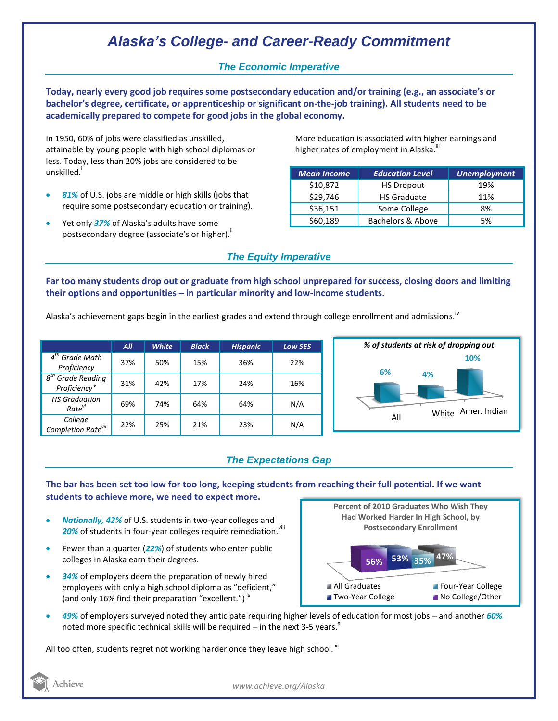# *Alaska's College- and Career-Ready Commitment*

## *The Economic Imperative*

**Today, nearly every good job requires some postsecondary education and/or training (e.g., an associate's or bachelor's degree, certificate, or apprenticeship or significant on-the-job training). All students need to be academically prepared to compete for good jobs in the global economy.**

In 1950, 60% of jobs were classified as unskilled, attainable by young people with high school diplomas or less. Today, less than 20% jobs are considered to be unskilled.<sup>i</sup>

- *81%* of U.S. jobs are middle or high skills (jobs that require some postsecondary education or training).
- Yet only *37%* of Alaska's adults have some postsecondary degree (associate's or higher)."

More education is associated with higher earnings and higher rates of employment in Alaska.<sup>""</sup>

| <b>Mean Income</b> | <b>Education Level</b> | <b>Unemployment</b> |
|--------------------|------------------------|---------------------|
| \$10,872           | <b>HS Dropout</b>      | 19%                 |
| \$29,746           | <b>HS Graduate</b>     | 11%                 |
| \$36,151           | Some College           | 8%                  |
| \$60,189           | Bachelors & Above      | 5%                  |

## *The Equity Imperative*

**Far too many students drop out or graduate from high school unprepared for success, closing doors and limiting their options and opportunities – in particular minority and low-income students.** 

Alaska's achievement gaps begin in the earliest grades and extend through college enrollment and admissions. <sup>iv</sup>

|                                                              | AII | <b>White</b> | <b>Black</b> | <b>Hispanic</b> | <b>Low SES</b> |
|--------------------------------------------------------------|-----|--------------|--------------|-----------------|----------------|
| $4th$ Grade Math<br>Proficiency                              | 37% | 50%          | 15%          | 36%             | 22%            |
| $g^{th}$<br><b>Grade Reading</b><br>Proficiency <sup>v</sup> | 31% | 42%          | 17%          | 24%             | 16%            |
| <b>HS Graduation</b><br>Rate <sup>vi</sup>                   | 69% | 74%          | 64%          | 64%             | N/A            |
| College<br>Completion Rate <sup>vii</sup>                    | 22% | 25%          | 21%          | 23%             | N/A            |



## *The Expectations Gap*

**The bar has been set too low for too long, keeping students from reaching their full potential. If we want students to achieve more, we need to expect more.**

- *Nationally, 42%* of U.S. students in two-year colleges and 20% of students in four-year colleges require remediation.<sup>viii</sup>
- Fewer than a quarter (*22%*) of students who enter public colleges in Alaska earn their degrees.
- *34%* of employers deem the preparation of newly hired employees with only a high school diploma as "deficient," (and only 16% find their preparation "excellent.")<sup>ix</sup>



 *49%* of employers surveyed noted they anticipate requiring higher levels of education for most jobs – and another *60%* noted more specific technical skills will be required – in the next 3-5 years.<sup> $x$ </sup>

All too often, students regret not working harder once they leave high school.  $x_i$